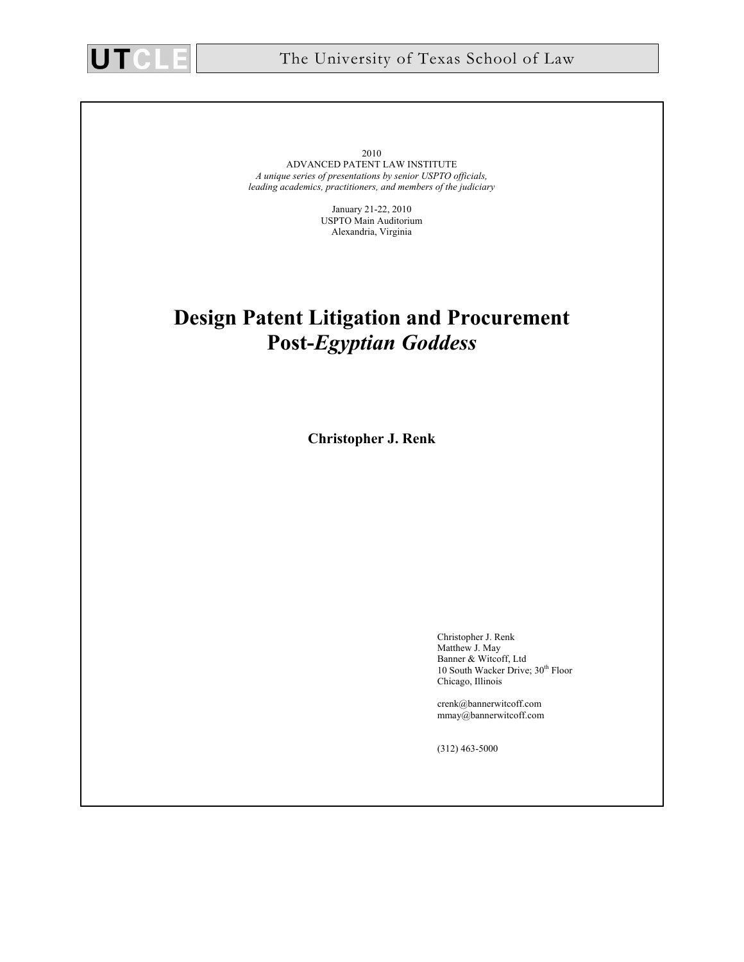

2010 ADVANCED PATENT LAW INSTITUTE *A unique series of presentations by senior USPTO officials, leading academics, practitioners, and members of the judiciary* 

> January 21-22, 2010 USPTO Main Auditorium Alexandria, Virginia

# **Design Patent Litigation and Procurement Post-***Egyptian Goddess*

**Christopher J. Renk** 

Christopher J. Renk Matthew J. May Banner & Witcoff, Ltd 10 South Wacker Drive; 30<sup>th</sup> Floor Chicago, Illinois

crenk@bannerwitcoff.com mmay@bannerwitcoff.com

(312) 463-5000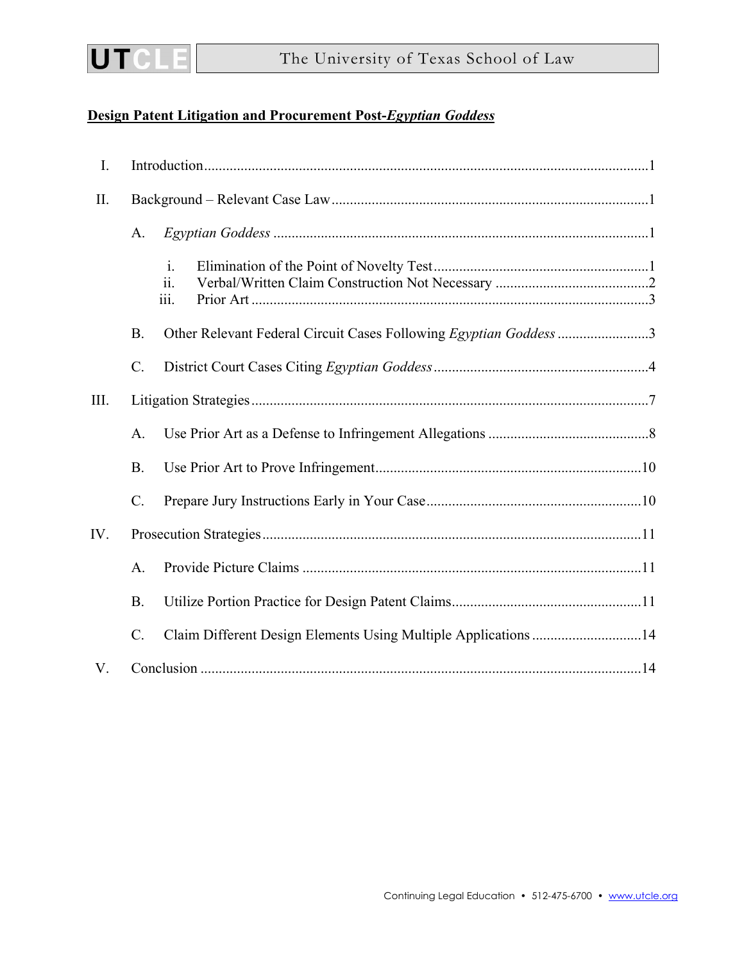

# **Design Patent Litigation and Procurement Post-***Egyptian Goddess*

| $\mathbf{I}$ . |                 |                                                                   |  |  |  |  |
|----------------|-----------------|-------------------------------------------------------------------|--|--|--|--|
| $\prod$ .      |                 |                                                                   |  |  |  |  |
|                | A.              |                                                                   |  |  |  |  |
|                |                 | $\mathbf{i}$ .<br>ii.<br>iii.                                     |  |  |  |  |
|                | B.              | Other Relevant Federal Circuit Cases Following Egyptian Goddess 3 |  |  |  |  |
|                | $\mathcal{C}$ . |                                                                   |  |  |  |  |
| III.           |                 |                                                                   |  |  |  |  |
|                | A.              |                                                                   |  |  |  |  |
|                | <b>B.</b>       |                                                                   |  |  |  |  |
|                | $\mathcal{C}$ . |                                                                   |  |  |  |  |
| IV.            |                 |                                                                   |  |  |  |  |
|                | A.              |                                                                   |  |  |  |  |
|                | <b>B.</b>       |                                                                   |  |  |  |  |
|                | $\mathcal{C}$ . | Claim Different Design Elements Using Multiple Applications 14    |  |  |  |  |
| V.             |                 |                                                                   |  |  |  |  |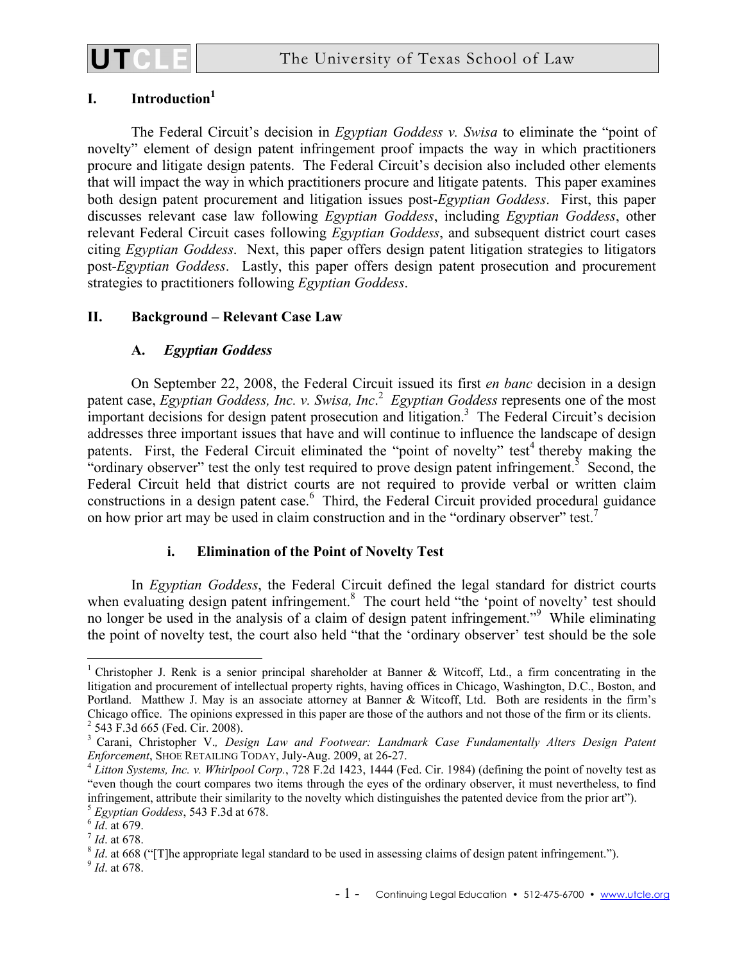

# **I. Introduction1**

The Federal Circuit's decision in *Egyptian Goddess v. Swisa* to eliminate the "point of novelty" element of design patent infringement proof impacts the way in which practitioners procure and litigate design patents. The Federal Circuit's decision also included other elements that will impact the way in which practitioners procure and litigate patents. This paper examines both design patent procurement and litigation issues post-*Egyptian Goddess*. First, this paper discusses relevant case law following *Egyptian Goddess*, including *Egyptian Goddess*, other relevant Federal Circuit cases following *Egyptian Goddess*, and subsequent district court cases citing *Egyptian Goddess*. Next, this paper offers design patent litigation strategies to litigators post-*Egyptian Goddess*. Lastly, this paper offers design patent prosecution and procurement strategies to practitioners following *Egyptian Goddess*.

## **II. Background – Relevant Case Law**

## **A.** *Egyptian Goddess*

On September 22, 2008, the Federal Circuit issued its first *en banc* decision in a design patent case, *Egyptian Goddess, Inc. v. Swisa, Inc*. 2 *Egyptian Goddess* represents one of the most important decisions for design patent prosecution and litigation.<sup>3</sup> The Federal Circuit's decision addresses three important issues that have and will continue to influence the landscape of design patents. First, the Federal Circuit eliminated the "point of novelty" test<sup>4</sup> thereby making the "ordinary observer" test the only test required to prove design patent infringement.<sup>5</sup> Second, the Federal Circuit held that district courts are not required to provide verbal or written claim constructions in a design patent case.<sup>6</sup> Third, the Federal Circuit provided procedural guidance on how prior art may be used in claim construction and in the "ordinary observer" test.<sup>7</sup>

# **i. Elimination of the Point of Novelty Test**

In *Egyptian Goddess*, the Federal Circuit defined the legal standard for district courts when evaluating design patent infringement.<sup>8</sup> The court held "the 'point of novelty' test should no longer be used in the analysis of a claim of design patent infringement."9 While eliminating the point of novelty test, the court also held "that the 'ordinary observer' test should be the sole

<sup>&</sup>lt;sup>1</sup> Christopher J. Renk is a senior principal shareholder at Banner & Witcoff, Ltd., a firm concentrating in the litigation and procurement of intellectual property rights, having offices in Chicago, Washington, D.C., Boston, and Portland. Matthew J. May is an associate attorney at Banner & Witcoff, Ltd. Both are residents in the firm's Chicago office. The opinions expressed in this paper are those of the authors and not those of the firm or its clients. 2  $2$  543 F.3d 665 (Fed. Cir. 2008).

<sup>&</sup>lt;sup>3</sup> Carani, Christopher V., *Design Law and Footwear: Landmark Case Fundamentally Alters Design Patent Enforcement, SHOE RETAILING TODAY, July-Aug. 2009, at 26-27.* 

<sup>&</sup>lt;sup>4</sup> Litton Systems, Inc. v. Whirlpool Corp., 728 F.2d 1423, 1444 (Fed. Cir. 1984) (defining the point of novelty test as "even though the court compares two items through the eyes of the ordinary observer, it must nevertheless, to find infringement, attribute their similarity to the novelty which distinguishes the patented device from the prior art").<br>
<sup>5</sup> Egyptian Goddess, 543 F.3d at 678.<br>
<sup>6</sup> *Id.* at 679.<br>
<sup>8</sup> *Id.* at 678.<br>
<sup>8</sup> *Id.* at 668 ("[T]he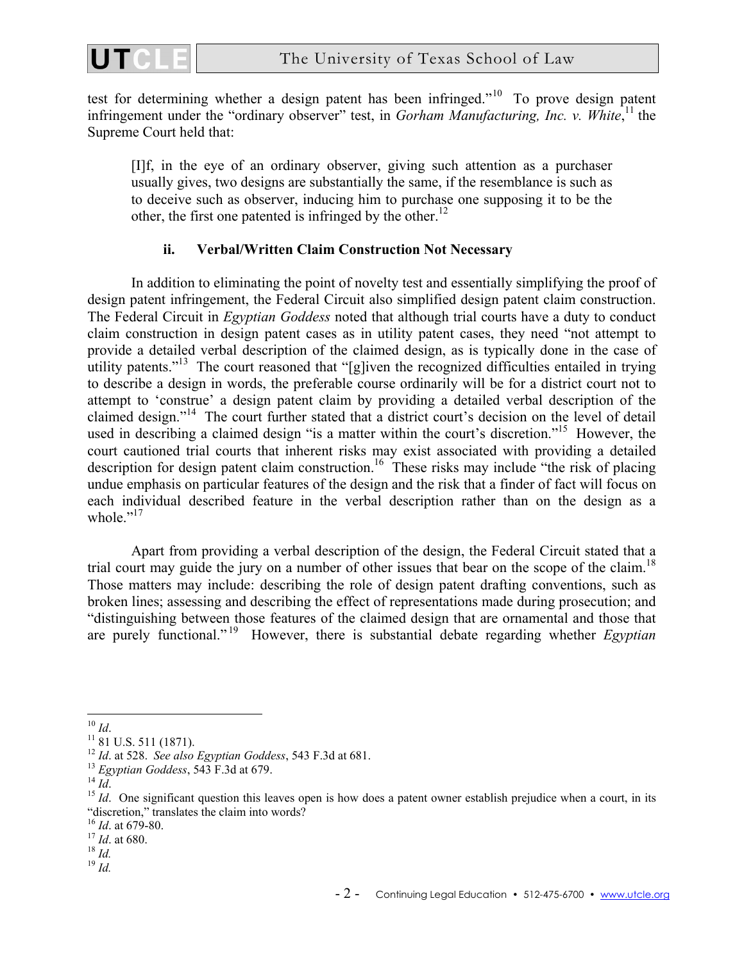

test for determining whether a design patent has been infringed."10 To prove design patent infringement under the "ordinary observer" test, in *Gorham Manufacturing*, Inc. v. White,<sup>11</sup> the Supreme Court held that:

[I]f, in the eye of an ordinary observer, giving such attention as a purchaser usually gives, two designs are substantially the same, if the resemblance is such as to deceive such as observer, inducing him to purchase one supposing it to be the other, the first one patented is infringed by the other.<sup>12</sup>

## **ii. Verbal/Written Claim Construction Not Necessary**

In addition to eliminating the point of novelty test and essentially simplifying the proof of design patent infringement, the Federal Circuit also simplified design patent claim construction. The Federal Circuit in *Egyptian Goddess* noted that although trial courts have a duty to conduct claim construction in design patent cases as in utility patent cases, they need "not attempt to provide a detailed verbal description of the claimed design, as is typically done in the case of utility patents."<sup>13</sup> The court reasoned that "[g]iven the recognized difficulties entailed in trying to describe a design in words, the preferable course ordinarily will be for a district court not to attempt to 'construe' a design patent claim by providing a detailed verbal description of the claimed design."14 The court further stated that a district court's decision on the level of detail used in describing a claimed design "is a matter within the court's discretion."<sup>15</sup> However, the court cautioned trial courts that inherent risks may exist associated with providing a detailed description for design patent claim construction.<sup>16</sup> These risks may include "the risk of placing undue emphasis on particular features of the design and the risk that a finder of fact will focus on each individual described feature in the verbal description rather than on the design as a whole  $"$ <sup>17</sup>

Apart from providing a verbal description of the design, the Federal Circuit stated that a trial court may guide the jury on a number of other issues that bear on the scope of the claim.<sup>18</sup> Those matters may include: describing the role of design patent drafting conventions, such as broken lines; assessing and describing the effect of representations made during prosecution; and "distinguishing between those features of the claimed design that are ornamental and those that are purely functional." 19 However, there is substantial debate regarding whether *Egyptian* 

 $10$  Id.

<sup>&</sup>lt;sup>11</sup> 81 U.S. 511 (1871).<br><sup>12</sup> *Id.* at 528. *See also Egyptian Goddess*, 543 F.3d at 681.

<sup>&</sup>lt;sup>13</sup> Egyptian Goddess, 543 F.3d at 679.<br><sup>14</sup> *Id.* One significant question this leaves open is how does a patent owner establish prejudice when a court, in its "discretion," translates the claim into words?"<br><sup>16</sup> *Id*. at 679-80.<br><sup>17</sup> *Id*. at 680.<br><sup>18</sup> *Id.*<br><sup>19</sup> *Id*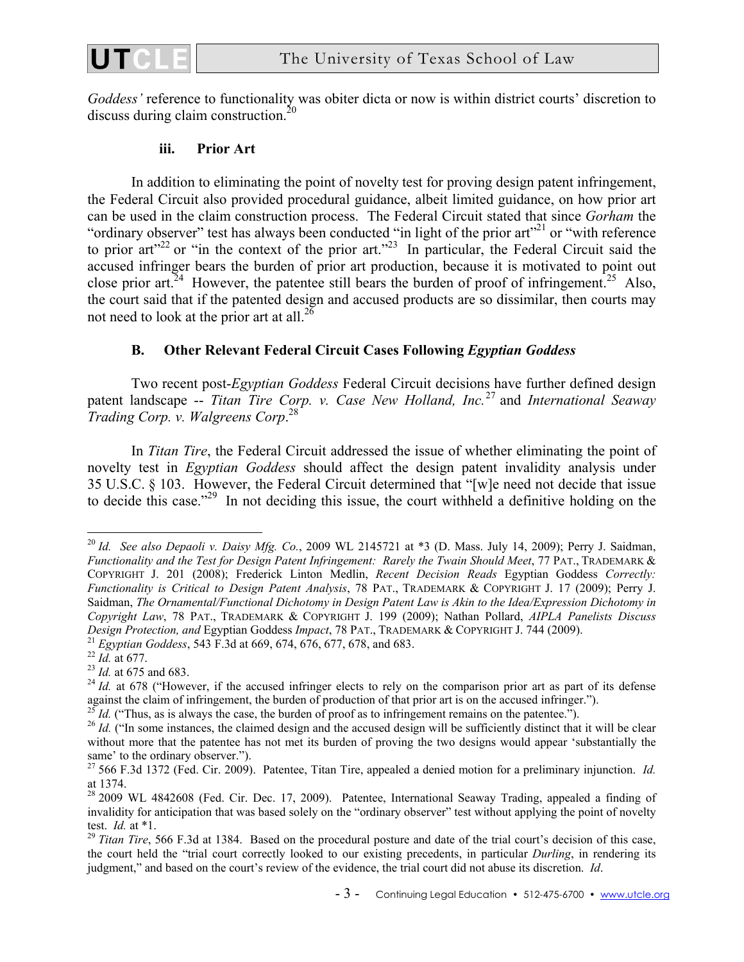

*Goddess'* reference to functionality was obiter dicta or now is within district courts' discretion to discuss during claim construction.<sup>20</sup>

## **iii. Prior Art**

In addition to eliminating the point of novelty test for proving design patent infringement, the Federal Circuit also provided procedural guidance, albeit limited guidance, on how prior art can be used in the claim construction process. The Federal Circuit stated that since *Gorham* the "ordinary observer" test has always been conducted "in light of the prior art"<sup>21</sup> or "with reference" to prior art<sup>"22</sup> or "in the context of the prior art.<sup>"23</sup> In particular, the Federal Circuit said the accused infringer bears the burden of prior art production, because it is motivated to point out close prior art.<sup>24</sup> However, the patentee still bears the burden of proof of infringement.<sup>25</sup> Also, the court said that if the patented design and accused products are so dissimilar, then courts may not need to look at the prior art at all. $^{26}$ 

## **B. Other Relevant Federal Circuit Cases Following** *Egyptian Goddess*

Two recent post-*Egyptian Goddess* Federal Circuit decisions have further defined design patent landscape -- *Titan Tire Corp. v. Case New Holland, Inc.*27 and *International Seaway Trading Corp. v. Walgreens Corp*. 28

In *Titan Tire*, the Federal Circuit addressed the issue of whether eliminating the point of novelty test in *Egyptian Goddess* should affect the design patent invalidity analysis under 35 U.S.C. § 103. However, the Federal Circuit determined that "[w]e need not decide that issue to decide this case."<sup>29</sup> In not deciding this issue, the court withheld a definitive holding on the

 $\overline{a}$ <sup>20</sup> *Id. See also Depaoli v. Daisy Mfg. Co.*, 2009 WL 2145721 at \*3 (D. Mass. July 14, 2009); Perry J. Saidman, *Functionality and the Test for Design Patent Infringement: Rarely the Twain Should Meet*, 77 PAT., TRADEMARK & COPYRIGHT J. 201 (2008); Frederick Linton Medlin, *Recent Decision Reads* Egyptian Goddess *Correctly: Functionality is Critical to Design Patent Analysis*, 78 PAT., TRADEMARK & COPYRIGHT J. 17 (2009); Perry J. Saidman, *The Ornamental/Functional Dichotomy in Design Patent Law is Akin to the Idea/Expression Dichotomy in Copyright Law*, 78 PAT., TRADEMARK & COPYRIGHT J. 199 (2009); Nathan Pollard, *AIPLA Panelists Discuss*  Design Protection, and Egyptian Goddess Impact, 78 PAT., TRADEMARK & COPYRIGHT J. 744 (2009).<br><sup>21</sup> Egyptian Goddess, 543 F.3d at 669, 674, 676, 677, 678, and 683.<br><sup>22</sup> Id. at 677.<br><sup>23</sup> Id. at 675 and 683.<br><sup>24</sup> Id. at 678

against the claim of infringement, the burden of production of that prior art is on the accused infringer.").  $^{25}$  *Id.* ("Thus, as is always the case, the burden of proof as to infringement remains on the patentee.").

 $^{26}$  *Id.* ("In some instances, the claimed design and the accused design will be sufficiently distinct that it will be clear without more that the patentee has not met its burden of proving the two designs would appear 'substantially the same' to the ordinary observer.").

<sup>27 566</sup> F.3d 1372 (Fed. Cir. 2009). Patentee, Titan Tire, appealed a denied motion for a preliminary injunction. *Id.* at 1374.

<sup>&</sup>lt;sup>28</sup> 2009 WL 4842608 (Fed. Cir. Dec. 17, 2009). Patentee, International Seaway Trading, appealed a finding of invalidity for anticipation that was based solely on the "ordinary observer" test without applying the point of novelty test.  $Id$ . at  $*1$ .

<sup>&</sup>lt;sup>29</sup> *Titan Tire*, 566 F.3d at 1384. Based on the procedural posture and date of the trial court's decision of this case, the court held the "trial court correctly looked to our existing precedents, in particular *Durling*, in rendering its judgment," and based on the court's review of the evidence, the trial court did not abuse its discretion. *Id*.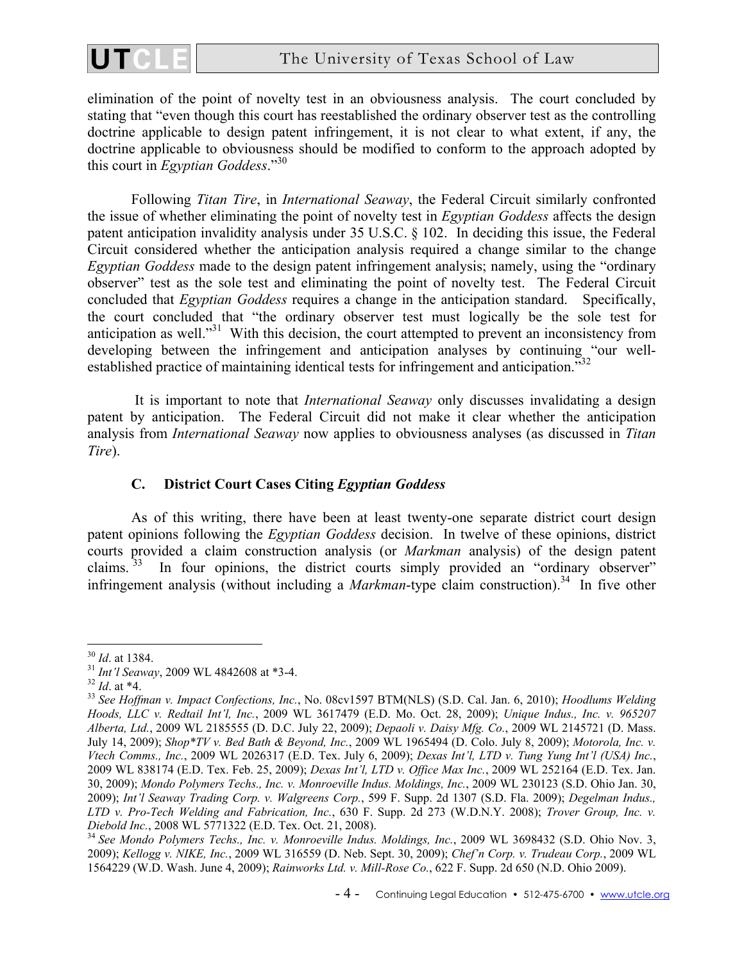

elimination of the point of novelty test in an obviousness analysis. The court concluded by stating that "even though this court has reestablished the ordinary observer test as the controlling doctrine applicable to design patent infringement, it is not clear to what extent, if any, the doctrine applicable to obviousness should be modified to conform to the approach adopted by this court in *Egyptian Goddess*."30

Following *Titan Tire*, in *International Seaway*, the Federal Circuit similarly confronted the issue of whether eliminating the point of novelty test in *Egyptian Goddess* affects the design patent anticipation invalidity analysis under 35 U.S.C. § 102. In deciding this issue, the Federal Circuit considered whether the anticipation analysis required a change similar to the change *Egyptian Goddess* made to the design patent infringement analysis; namely, using the "ordinary observer" test as the sole test and eliminating the point of novelty test. The Federal Circuit concluded that *Egyptian Goddess* requires a change in the anticipation standard. Specifically, the court concluded that "the ordinary observer test must logically be the sole test for anticipation as well.<sup>"31</sup> With this decision, the court attempted to prevent an inconsistency from developing between the infringement and anticipation analyses by continuing "our wellestablished practice of maintaining identical tests for infringement and anticipation."<sup>32</sup>

 It is important to note that *International Seaway* only discusses invalidating a design patent by anticipation. The Federal Circuit did not make it clear whether the anticipation analysis from *International Seaway* now applies to obviousness analyses (as discussed in *Titan Tire*).

## **C. District Court Cases Citing** *Egyptian Goddess*

As of this writing, there have been at least twenty-one separate district court design patent opinions following the *Egyptian Goddess* decision. In twelve of these opinions, district courts provided a claim construction analysis (or *Markman* analysis) of the design patent claims.<sup>33</sup> In four opinions, the district courts simply provided an "ordinary observer" infringement analysis (without including a *Markman*-type claim construction).<sup>34</sup> In five other

 $\overline{a}$ 

<sup>30</sup> *Id*. at 1384. 31 *Int'l Seaway*, 2009 WL 4842608 at \*3-4. 32 *Id*. at \*4. 33 *See Hoffman v. Impact Confections, Inc.*, No. 08cv1597 BTM(NLS) (S.D. Cal. Jan. 6, 2010); *Hoodlums Welding Hoods, LLC v. Redtail Int'l, Inc.*, 2009 WL 3617479 (E.D. Mo. Oct. 28, 2009); *Unique Indus., Inc. v. 965207 Alberta, Ltd.*, 2009 WL 2185555 (D. D.C. July 22, 2009); *Depaoli v. Daisy Mfg. Co.*, 2009 WL 2145721 (D. Mass. July 14, 2009); *Shop\*TV v. Bed Bath & Beyond, Inc.*, 2009 WL 1965494 (D. Colo. July 8, 2009); *Motorola, Inc. v. Vtech Comms., Inc.*, 2009 WL 2026317 (E.D. Tex. July 6, 2009); *Dexas Int'l, LTD v. Tung Yung Int'l (USA) Inc.*, 2009 WL 838174 (E.D. Tex. Feb. 25, 2009); *Dexas Int'l, LTD v. Office Max Inc.*, 2009 WL 252164 (E.D. Tex. Jan. 30, 2009); *Mondo Polymers Techs., Inc. v. Monroeville Indus. Moldings, Inc.*, 2009 WL 230123 (S.D. Ohio Jan. 30, 2009); *Int'l Seaway Trading Corp. v. Walgreens Corp.*, 599 F. Supp. 2d 1307 (S.D. Fla. 2009); *Degelman Indus., LTD v. Pro-Tech Welding and Fabrication, Inc.*, 630 F. Supp. 2d 273 (W.D.N.Y. 2008); *Trover Group, Inc. v.* 

<sup>&</sup>lt;sup>34</sup> See Mondo Polymers Techs., Inc. v. Monroeville Indus. Moldings, Inc., 2009 WL 3698432 (S.D. Ohio Nov. 3, 2009); *Kellogg v. NIKE, Inc.*, 2009 WL 316559 (D. Neb. Sept. 30, 2009); *Chef'n Corp. v. Trudeau Corp.*, 2009 WL 1564229 (W.D. Wash. June 4, 2009); *Rainworks Ltd. v. Mill-Rose Co.*, 622 F. Supp. 2d 650 (N.D. Ohio 2009).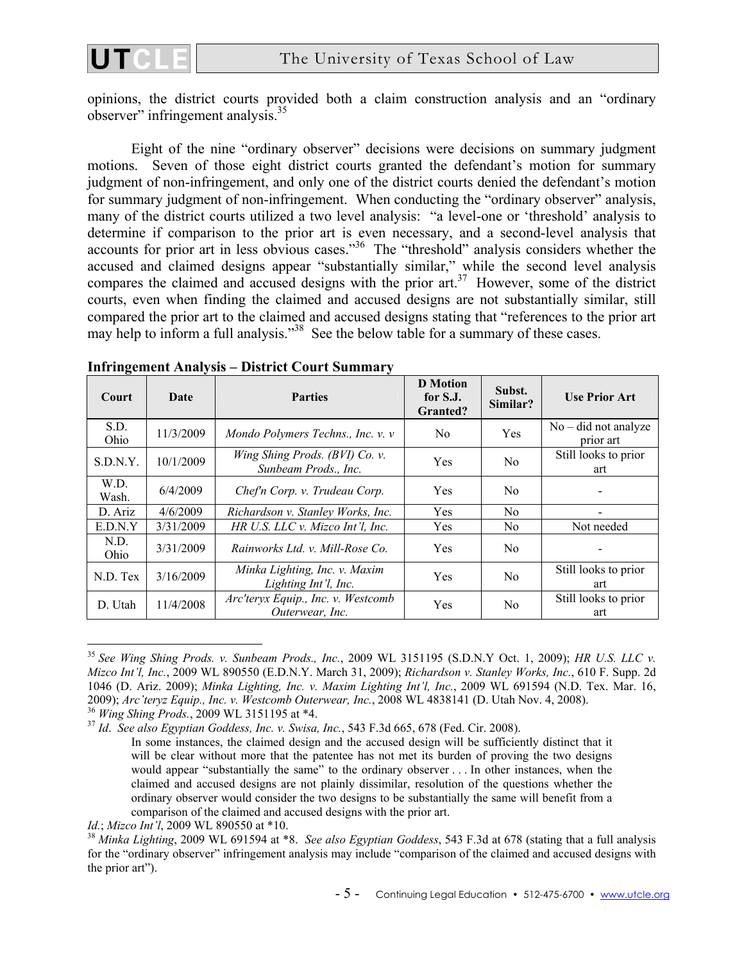

opinions, the district courts provided both a claim construction analysis and an "ordinary observer" infringement analysis.35

Eight of the nine "ordinary observer" decisions were decisions on summary judgment motions. Seven of those eight district courts granted the defendant's motion for summary judgment of non-infringement, and only one of the district courts denied the defendant's motion for summary judgment of non-infringement. When conducting the "ordinary observer" analysis, many of the district courts utilized a two level analysis: "a level-one or 'threshold' analysis to determine if comparison to the prior art is even necessary, and a second-level analysis that accounts for prior art in less obvious cases."36 The "threshold" analysis considers whether the accused and claimed designs appear "substantially similar," while the second level analysis compares the claimed and accused designs with the prior art.<sup>37</sup> However, some of the district courts, even when finding the claimed and accused designs are not substantially similar, still compared the prior art to the claimed and accused designs stating that "references to the prior art may help to inform a full analysis."<sup>38</sup> See the below table for a summary of these cases.

| <b>Court</b>  | Date      | <b>Parties</b>                                         | <b>D</b> Motion<br>for S.J.<br><b>Granted?</b> | Subst.<br>Similar? | <b>Use Prior Art</b>                |
|---------------|-----------|--------------------------------------------------------|------------------------------------------------|--------------------|-------------------------------------|
| S.D.<br>Ohio  | 11/3/2009 | Mondo Polymers Techns., Inc. v. v                      | N <sub>0</sub>                                 | Yes                | $No$ – did not analyze<br>prior art |
| S.D.N.Y.      | 10/1/2009 | Wing Shing Prods. (BVI) Co. v.<br>Sunbeam Prods., Inc. | Yes                                            | N <sub>0</sub>     | Still looks to prior<br>art         |
| W.D.<br>Wash. | 6/4/2009  | Chef'n Corp. v. Trudeau Corp.                          | Yes                                            | N <sub>0</sub>     |                                     |
| D. Ariz       | 4/6/2009  | Richardson v. Stanley Works, Inc.                      | Yes                                            | N <sub>0</sub>     |                                     |
| E.D.N.Y       | 3/31/2009 | HR U.S. LLC v. Mizco Int'l, Inc.                       | Yes                                            | N <sub>0</sub>     | Not needed                          |
| N.D.<br>Ohio  | 3/31/2009 | Rainworks Ltd. v. Mill-Rose Co.                        | Yes                                            | N <sub>0</sub>     |                                     |
| N.D. Tex      | 3/16/2009 | Minka Lighting, Inc. v. Maxim<br>Lighting Int'l, Inc.  | Yes                                            | N <sub>0</sub>     | Still looks to prior<br>art         |
| D. Utah       | 11/4/2008 | Arc'teryx Equip., Inc. v. Westcomb<br>Outerwear, Inc.  | Yes                                            | N <sub>0</sub>     | Still looks to prior<br>art         |

#### **Infringement Analysis – District Court Summary**

<sup>35</sup> *See Wing Shing Prods. v. Sunbeam Prods., Inc.*, 2009 WL 3151195 (S.D.N.Y Oct. 1, 2009); *HR U.S. LLC v. Mizco Int'l, Inc.*, 2009 WL 890550 (E.D.N.Y. March 31, 2009); *Richardson v. Stanley Works, Inc.*, 610 F. Supp. 2d 1046 (D. Ariz. 2009); *Minka Lighting, Inc. v. Maxim Lighting Int'l, Inc.*, 2009 WL 691594 (N.D. Tex. Mar. 16, 2009); Arc'teryz Equip., Inc. v. Westcomb Outerwear, Inc., 2008 WL 4838141 (D. Utah Nov. 4, 2008).<br><sup>36</sup> Wing Shing Prods., 2009 WL 3151195 at \*4.<br><sup>37</sup> Id. See also Egyptian Goddess, Inc. v. Swisa, Inc., 543 F.3d 665, 678 (

In some instances, the claimed design and the accused design will be sufficiently distinct that it will be clear without more that the patentee has not met its burden of proving the two designs would appear "substantially the same" to the ordinary observer . . . In other instances, when the claimed and accused designs are not plainly dissimilar, resolution of the questions whether the ordinary observer would consider the two designs to be substantially the same will benefit from a comparison of the claimed and accused designs with the prior art.

*Id.*; *Mizco Int'l*, 2009 WL 890550 at \*10.<br><sup>38</sup> *Minka Lighting*, 2009 WL 691594 at \*8. *See also Egyptian Goddess*, 543 F.3d at 678 (stating that a full analysis for the "ordinary observer" infringement analysis may include "comparison of the claimed and accused designs with the prior art").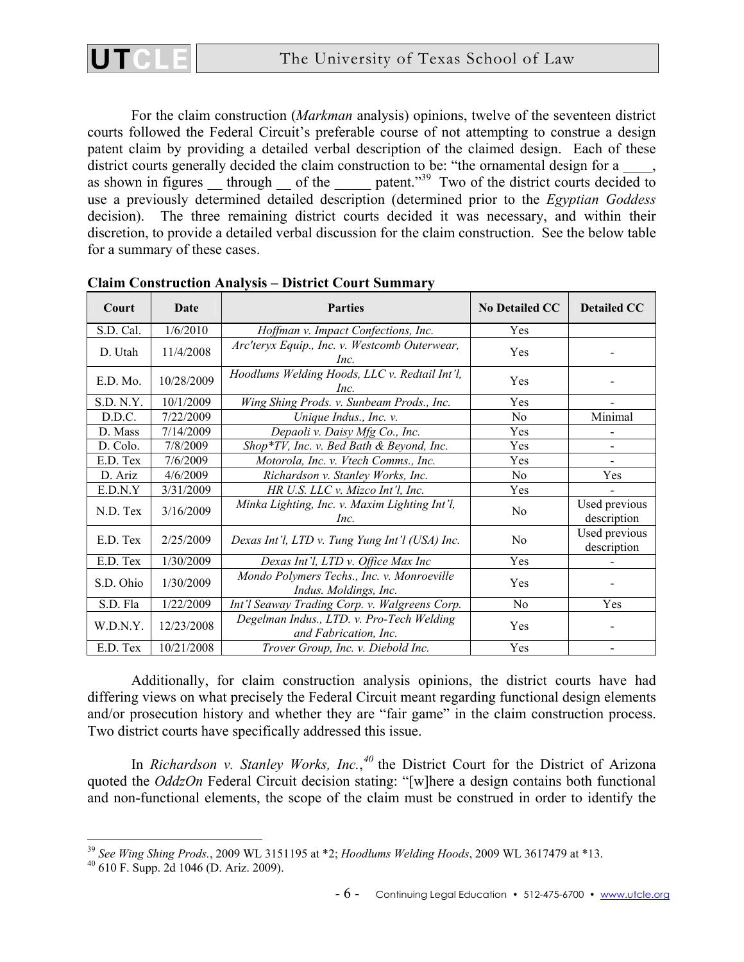

For the claim construction (*Markman* analysis) opinions, twelve of the seventeen district courts followed the Federal Circuit's preferable course of not attempting to construe a design patent claim by providing a detailed verbal description of the claimed design. Each of these district courts generally decided the claim construction to be: "the ornamental design for a \_\_\_\_, as shown in figures  $\frac{1}{2}$  through  $\frac{1}{2}$  of the  $\frac{1}{2}$  patent.<sup>39</sup> Two of the district courts decided to use a previously determined detailed description (determined prior to the *Egyptian Goddess* decision). The three remaining district courts decided it was necessary, and within their discretion, to provide a detailed verbal discussion for the claim construction. See the below table for a summary of these cases.

| Court     | Date       | <b>Parties</b>                                                      | <b>No Detailed CC</b> | <b>Detailed CC</b>           |
|-----------|------------|---------------------------------------------------------------------|-----------------------|------------------------------|
| S.D. Cal. | 1/6/2010   | Hoffman v. Impact Confections, Inc.                                 | Yes                   |                              |
| D. Utah   | 11/4/2008  | Arc'teryx Equip., Inc. v. Westcomb Outerwear,<br>Inc.               | Yes                   |                              |
| E.D. Mo.  | 10/28/2009 | Hoodlums Welding Hoods, LLC v. Redtail Int'l,<br>Inc.               | Yes                   |                              |
| S.D. N.Y. | 10/1/2009  | Wing Shing Prods. v. Sunbeam Prods., Inc.                           | Yes                   |                              |
| D.D.C.    | 7/22/2009  | Unique Indus., Inc. v.                                              | N <sub>0</sub>        | Minimal                      |
| D. Mass   | 7/14/2009  | Depaoli v. Daisy Mfg Co., Inc.                                      | Yes                   |                              |
| D. Colo.  | 7/8/2009   | Shop*TV, Inc. v. Bed Bath & Beyond, Inc.                            | Yes                   |                              |
| E.D. Tex  | 7/6/2009   | Motorola, Inc. v. Vtech Comms., Inc.                                | Yes                   |                              |
| D. Ariz   | 4/6/2009   | Richardson v. Stanley Works, Inc.                                   | N <sub>0</sub>        | Yes                          |
| E.D.N.Y   | 3/31/2009  | HR U.S. LLC v. Mizco Int'l, Inc.                                    | Yes                   |                              |
| N.D. Tex  | 3/16/2009  | Minka Lighting, Inc. v. Maxim Lighting Int'l,<br>Inc.               | No                    | Used previous<br>description |
| E.D. Tex  | 2/25/2009  | Dexas Int'l, LTD v. Tung Yung Int'l (USA) Inc.                      | No                    | Used previous<br>description |
| E.D. Tex  | 1/30/2009  | Dexas Int'l, LTD v. Office Max Inc                                  | Yes                   |                              |
| S.D. Ohio | 1/30/2009  | Mondo Polymers Techs., Inc. v. Monroeville<br>Indus. Moldings, Inc. | Yes                   |                              |
| S.D. Fla  | 1/22/2009  | Int'l Seaway Trading Corp. v. Walgreens Corp.                       | N <sub>o</sub>        | Yes                          |
| W.D.N.Y.  | 12/23/2008 | Degelman Indus., LTD. v. Pro-Tech Welding<br>and Fabrication, Inc.  | Yes                   |                              |
| E.D. Tex  | 10/21/2008 | Trover Group, Inc. v. Diebold Inc.                                  | Yes                   |                              |

**Claim Construction Analysis – District Court Summary** 

Additionally, for claim construction analysis opinions, the district courts have had differing views on what precisely the Federal Circuit meant regarding functional design elements and/or prosecution history and whether they are "fair game" in the claim construction process. Two district courts have specifically addressed this issue.

In *Richardson v. Stanley Works, Inc.*,<sup>40</sup> the District Court for the District of Arizona quoted the *OddzOn* Federal Circuit decision stating: "[w]here a design contains both functional and non-functional elements, the scope of the claim must be construed in order to identify the

 $\overline{a}$ 

UT

<sup>&</sup>lt;sup>39</sup> *See Wing Shing Prods.*, 2009 WL 3151195 at \*2; *Hoodlums Welding Hoods*, 2009 WL 3617479 at \*13. 40 610 F. Supp. 2d 1046 (D. Ariz. 2009).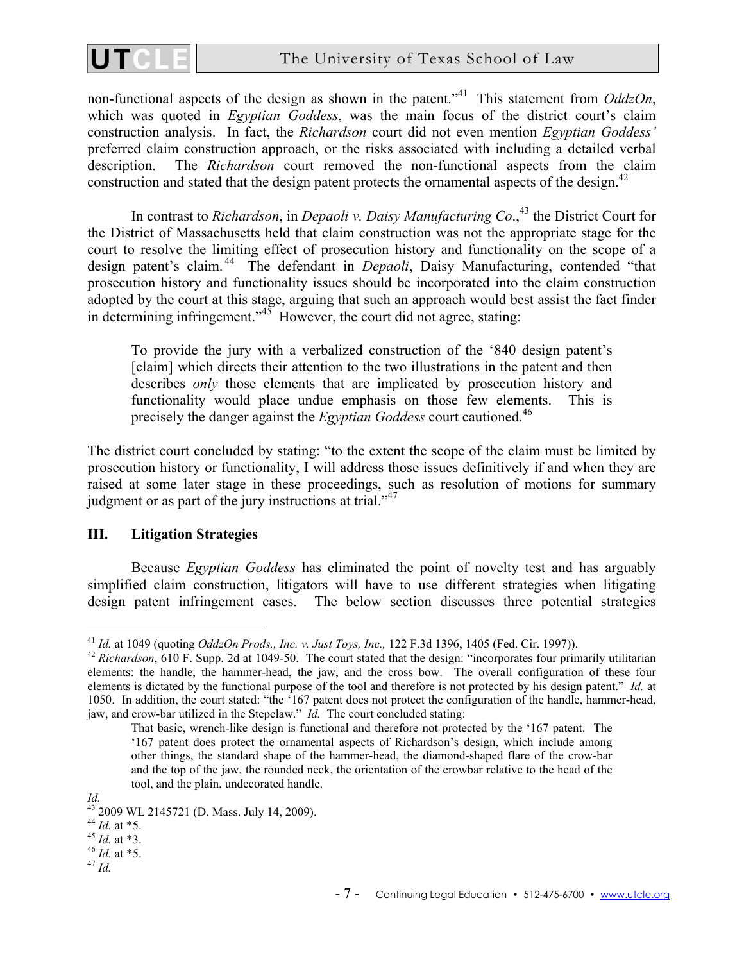

non-functional aspects of the design as shown in the patent.<sup>"41</sup> This statement from *OddzOn*, which was quoted in *Egyptian Goddess*, was the main focus of the district court's claim construction analysis. In fact, the *Richardson* court did not even mention *Egyptian Goddess'* preferred claim construction approach, or the risks associated with including a detailed verbal description. The *Richardson* court removed the non-functional aspects from the claim construction and stated that the design patent protects the ornamental aspects of the design.<sup>42</sup>

In contrast to *Richardson*, in *Depaoli v. Daisy Manufacturing Co.*<sup>43</sup> the District Court for the District of Massachusetts held that claim construction was not the appropriate stage for the court to resolve the limiting effect of prosecution history and functionality on the scope of a design patent's claim. 44 The defendant in *Depaoli*, Daisy Manufacturing, contended "that prosecution history and functionality issues should be incorporated into the claim construction adopted by the court at this stage, arguing that such an approach would best assist the fact finder in determining infringement." $45$  However, the court did not agree, stating:

To provide the jury with a verbalized construction of the '840 design patent's [claim] which directs their attention to the two illustrations in the patent and then describes *only* those elements that are implicated by prosecution history and functionality would place undue emphasis on those few elements. This is precisely the danger against the *Egyptian Goddess* court cautioned.46

The district court concluded by stating: "to the extent the scope of the claim must be limited by prosecution history or functionality, I will address those issues definitively if and when they are raised at some later stage in these proceedings, such as resolution of motions for summary judgment or as part of the jury instructions at trial." $47$ 

## **III. Litigation Strategies**

Because *Egyptian Goddess* has eliminated the point of novelty test and has arguably simplified claim construction, litigators will have to use different strategies when litigating design patent infringement cases. The below section discusses three potential strategies

1

- <sup>44</sup> *Id.* at \*5. 45 *Id.* at \*3. 46 *Id.* at \*5. 47 *Id.*
- 

<sup>&</sup>lt;sup>41</sup> *Id.* at 1049 (quoting *OddzOn Prods., Inc. v. Just Toys, Inc.*, 122 F.3d 1396, 1405 (Fed. Cir. 1997)).<br><sup>42</sup> *Richardson*, 610 F. Supp. 2d at 1049-50. The court stated that the design: "incorporates four primarily ut elements: the handle, the hammer-head, the jaw, and the cross bow. The overall configuration of these four elements is dictated by the functional purpose of the tool and therefore is not protected by his design patent." *Id.* at 1050. In addition, the court stated: "the '167 patent does not protect the configuration of the handle, hammer-head, jaw, and crow-bar utilized in the Stepclaw." *Id.* The court concluded stating:

That basic, wrench-like design is functional and therefore not protected by the '167 patent. The '167 patent does protect the ornamental aspects of Richardson's design, which include among other things, the standard shape of the hammer-head, the diamond-shaped flare of the crow-bar and the top of the jaw, the rounded neck, the orientation of the crowbar relative to the head of the tool, and the plain, undecorated handle.

*Id.* 43 2009 WL 2145721 (D. Mass. July 14, 2009). 44 *Id.* at \*5.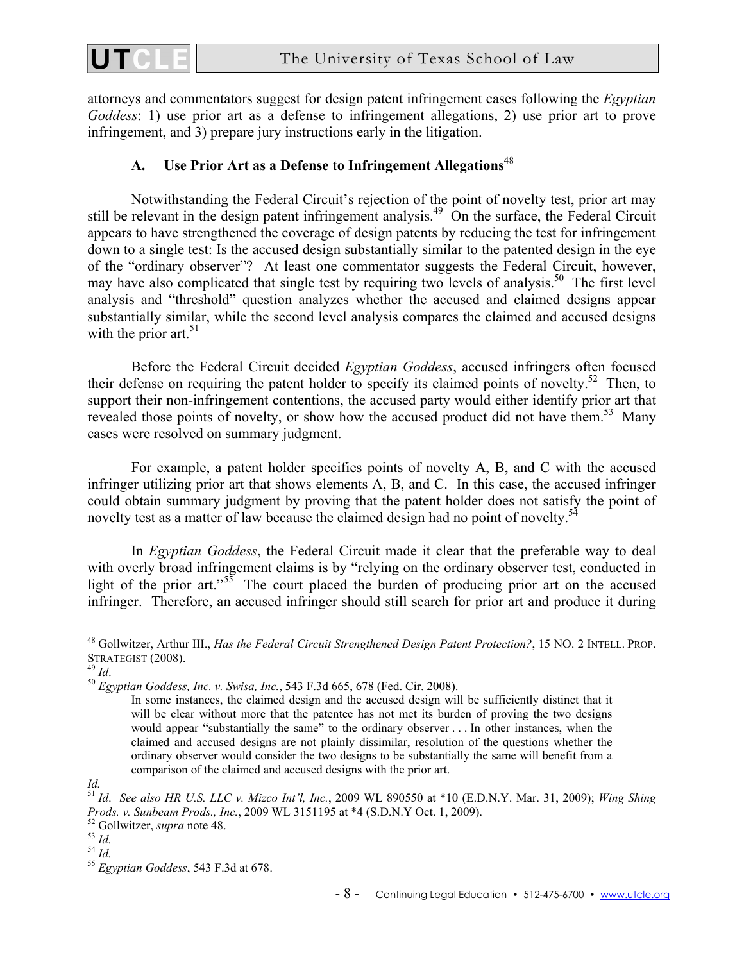

attorneys and commentators suggest for design patent infringement cases following the *Egyptian Goddess*: 1) use prior art as a defense to infringement allegations, 2) use prior art to prove infringement, and 3) prepare jury instructions early in the litigation.

## **A. Use Prior Art as a Defense to Infringement Allegations**<sup>48</sup>

Notwithstanding the Federal Circuit's rejection of the point of novelty test, prior art may still be relevant in the design patent infringement analysis.<sup>49</sup> On the surface, the Federal Circuit appears to have strengthened the coverage of design patents by reducing the test for infringement down to a single test: Is the accused design substantially similar to the patented design in the eye of the "ordinary observer"? At least one commentator suggests the Federal Circuit, however, may have also complicated that single test by requiring two levels of analysis.<sup>50</sup> The first level analysis and "threshold" question analyzes whether the accused and claimed designs appear substantially similar, while the second level analysis compares the claimed and accused designs with the prior art. $51$ 

Before the Federal Circuit decided *Egyptian Goddess*, accused infringers often focused their defense on requiring the patent holder to specify its claimed points of novelty.<sup>52</sup> Then, to support their non-infringement contentions, the accused party would either identify prior art that revealed those points of novelty, or show how the accused product did not have them.<sup>53</sup> Many cases were resolved on summary judgment.

For example, a patent holder specifies points of novelty A, B, and C with the accused infringer utilizing prior art that shows elements A, B, and C. In this case, the accused infringer could obtain summary judgment by proving that the patent holder does not satisfy the point of novelty test as a matter of law because the claimed design had no point of novelty.<sup>54</sup>

In *Egyptian Goddess*, the Federal Circuit made it clear that the preferable way to deal with overly broad infringement claims is by "relying on the ordinary observer test, conducted in light of the prior art."<sup>55</sup> The court placed the burden of producing prior art on the accused infringer. Therefore, an accused infringer should still search for prior art and produce it during

<sup>48</sup> Gollwitzer, Arthur III., *Has the Federal Circuit Strengthened Design Patent Protection?*, 15 NO. 2 INTELL. PROP. STRATEGIST (2008).<br><sup>49</sup> *Id.* 50 *Egyptian Goddess, Inc. v. Swisa, Inc.*, 543 F.3d 665, 678 (Fed. Cir. 2008).

In some instances, the claimed design and the accused design will be sufficiently distinct that it will be clear without more that the patentee has not met its burden of proving the two designs would appear "substantially the same" to the ordinary observer . . . In other instances, when the claimed and accused designs are not plainly dissimilar, resolution of the questions whether the ordinary observer would consider the two designs to be substantially the same will benefit from a comparison of the claimed and accused designs with the prior art.

*Id.* 

<sup>51</sup> *Id*. *See also HR U.S. LLC v. Mizco Int'l, Inc.*, 2009 WL 890550 at \*10 (E.D.N.Y. Mar. 31, 2009); *Wing Shing Prods. v. Sunbeam Prods., Inc.*, 2009 WL 3151195 at \*4 (S.D.N.Y Oct. 1, 2009).<br><sup>52</sup> Gollwitzer, *supra* note 48.<br><sup>53</sup> *Id.* 54 *Id.* 55 *Egyptian Goddess*, 543 F.3d at 678.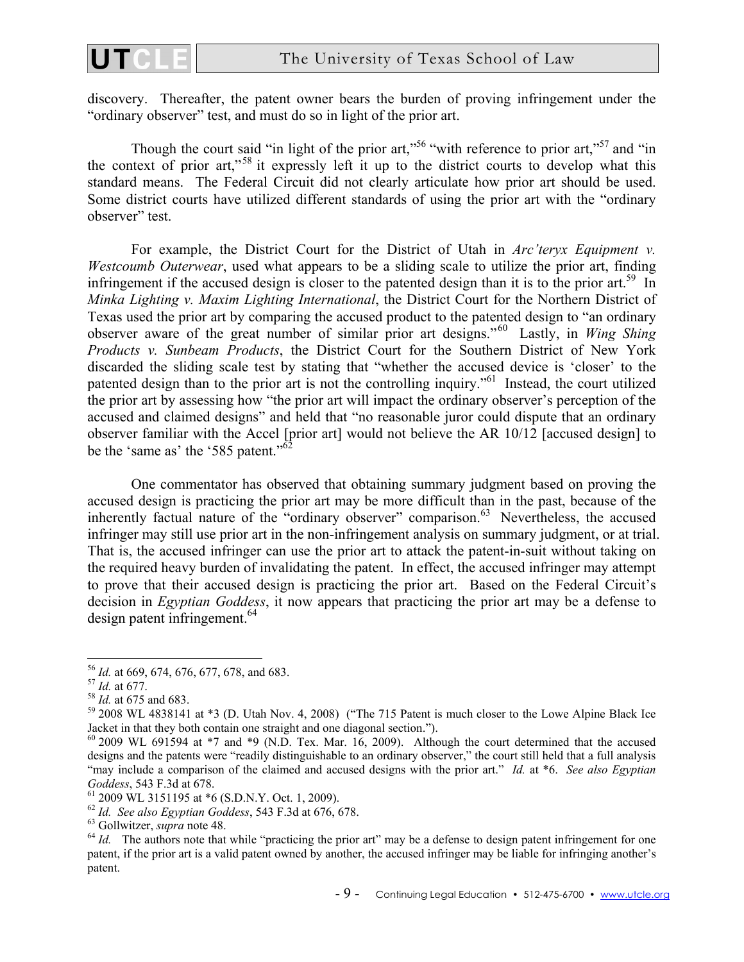

discovery. Thereafter, the patent owner bears the burden of proving infringement under the "ordinary observer" test, and must do so in light of the prior art.

Though the court said "in light of the prior art,"<sup>56</sup> "with reference to prior art,"<sup>57</sup> and "in the context of prior art,"58 it expressly left it up to the district courts to develop what this standard means. The Federal Circuit did not clearly articulate how prior art should be used. Some district courts have utilized different standards of using the prior art with the "ordinary observer" test.

For example, the District Court for the District of Utah in *Arc'teryx Equipment v. Westcoumb Outerwear*, used what appears to be a sliding scale to utilize the prior art, finding infringement if the accused design is closer to the patented design than it is to the prior art.<sup>59</sup> In *Minka Lighting v. Maxim Lighting International*, the District Court for the Northern District of Texas used the prior art by comparing the accused product to the patented design to "an ordinary observer aware of the great number of similar prior art designs."60 Lastly, in *Wing Shing Products v. Sunbeam Products*, the District Court for the Southern District of New York discarded the sliding scale test by stating that "whether the accused device is 'closer' to the patented design than to the prior art is not the controlling inquiry."61 Instead, the court utilized the prior art by assessing how "the prior art will impact the ordinary observer's perception of the accused and claimed designs" and held that "no reasonable juror could dispute that an ordinary observer familiar with the Accel [prior art] would not believe the AR 10/12 [accused design] to be the 'same as' the '585 patent."<sup>6</sup>

One commentator has observed that obtaining summary judgment based on proving the accused design is practicing the prior art may be more difficult than in the past, because of the inherently factual nature of the "ordinary observer" comparison.<sup>63</sup> Nevertheless, the accused infringer may still use prior art in the non-infringement analysis on summary judgment, or at trial. That is, the accused infringer can use the prior art to attack the patent-in-suit without taking on the required heavy burden of invalidating the patent. In effect, the accused infringer may attempt to prove that their accused design is practicing the prior art. Based on the Federal Circuit's decision in *Egyptian Goddess*, it now appears that practicing the prior art may be a defense to design patent infringement. $64$ 

<sup>&</sup>lt;sup>56</sup> Id. at 669, 674, 676, 677, 678, and 683.

<sup>&</sup>lt;sup>57</sup> *Id.* at 677.<br><sup>58</sup> *Id.* at 675 and 683.<br><sup>59</sup> 2008 WL 4838141 at \*3 (D. Utah Nov. 4, 2008) ("The 715 Patent is much closer to the Lowe Alpine Black Ice Jacket in that they both contain one straight and one diagonal section.").

 $60$  2009 WL 691594 at  $*7$  and  $*9$  (N.D. Tex. Mar. 16, 2009). Although the court determined that the accused designs and the patents were "readily distinguishable to an ordinary observer," the court still held that a full analysis "may include a comparison of the claimed and accused designs with the prior art." *Id.* at \*6. *See also Egyptian Goddess*, 543 F.3d at 678.<br><sup>61</sup> 2009 WL 3151195 at \*6 (S.D.N.Y. Oct. 1, 2009).<br><sup>62</sup> Id. *See also Egyptian Goddess*, 543 F.3d at 676, 678.

 $^{63}$  Gollwitzer, *supra* note 48.<br><sup>64</sup> *Id.* The authors note that while "practicing the prior art" may be a defense to design patent infringement for one patent, if the prior art is a valid patent owned by another, the accused infringer may be liable for infringing another's patent.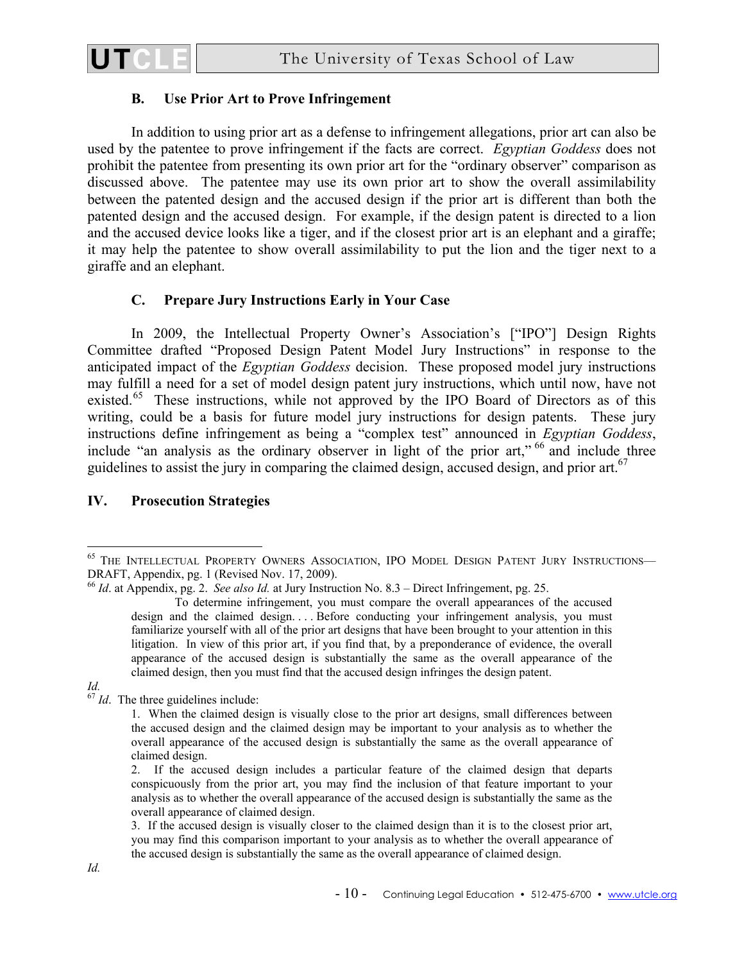

## **B. Use Prior Art to Prove Infringement**

In addition to using prior art as a defense to infringement allegations, prior art can also be used by the patentee to prove infringement if the facts are correct. *Egyptian Goddess* does not prohibit the patentee from presenting its own prior art for the "ordinary observer" comparison as discussed above. The patentee may use its own prior art to show the overall assimilability between the patented design and the accused design if the prior art is different than both the patented design and the accused design. For example, if the design patent is directed to a lion and the accused device looks like a tiger, and if the closest prior art is an elephant and a giraffe; it may help the patentee to show overall assimilability to put the lion and the tiger next to a giraffe and an elephant.

## **C. Prepare Jury Instructions Early in Your Case**

In 2009, the Intellectual Property Owner's Association's ["IPO"] Design Rights Committee drafted "Proposed Design Patent Model Jury Instructions" in response to the anticipated impact of the *Egyptian Goddess* decision. These proposed model jury instructions may fulfill a need for a set of model design patent jury instructions, which until now, have not existed.<sup>65</sup> These instructions, while not approved by the IPO Board of Directors as of this writing, could be a basis for future model jury instructions for design patents. These jury instructions define infringement as being a "complex test" announced in *Egyptian Goddess*, include "an analysis as the ordinary observer in light of the prior art,"  $^{66}$  and include three guidelines to assist the jury in comparing the claimed design, accused design, and prior art.<sup>67</sup>

## **IV. Prosecution Strategies**

<sup>1</sup> <sup>65</sup> THE INTELLECTUAL PROPERTY OWNERS ASSOCIATION, IPO MODEL DESIGN PATENT JURY INSTRUCTIONS— DRAFT, Appendix, pg. 1 (Revised Nov. 17, 2009).

<sup>66</sup> *Id*. at Appendix, pg. 2. *See also Id.* at Jury Instruction No. 8.3 – Direct Infringement, pg. 25.

To determine infringement, you must compare the overall appearances of the accused design and the claimed design. . . . Before conducting your infringement analysis, you must familiarize yourself with all of the prior art designs that have been brought to your attention in this litigation. In view of this prior art, if you find that, by a preponderance of evidence, the overall appearance of the accused design is substantially the same as the overall appearance of the claimed design, then you must find that the accused design infringes the design patent.

*Id.* <sup>67</sup> *Id.* The three guidelines include:

<sup>1.</sup> When the claimed design is visually close to the prior art designs, small differences between the accused design and the claimed design may be important to your analysis as to whether the overall appearance of the accused design is substantially the same as the overall appearance of claimed design.

<sup>2.</sup> If the accused design includes a particular feature of the claimed design that departs conspicuously from the prior art, you may find the inclusion of that feature important to your analysis as to whether the overall appearance of the accused design is substantially the same as the overall appearance of claimed design.

<sup>3.</sup> If the accused design is visually closer to the claimed design than it is to the closest prior art, you may find this comparison important to your analysis as to whether the overall appearance of the accused design is substantially the same as the overall appearance of claimed design.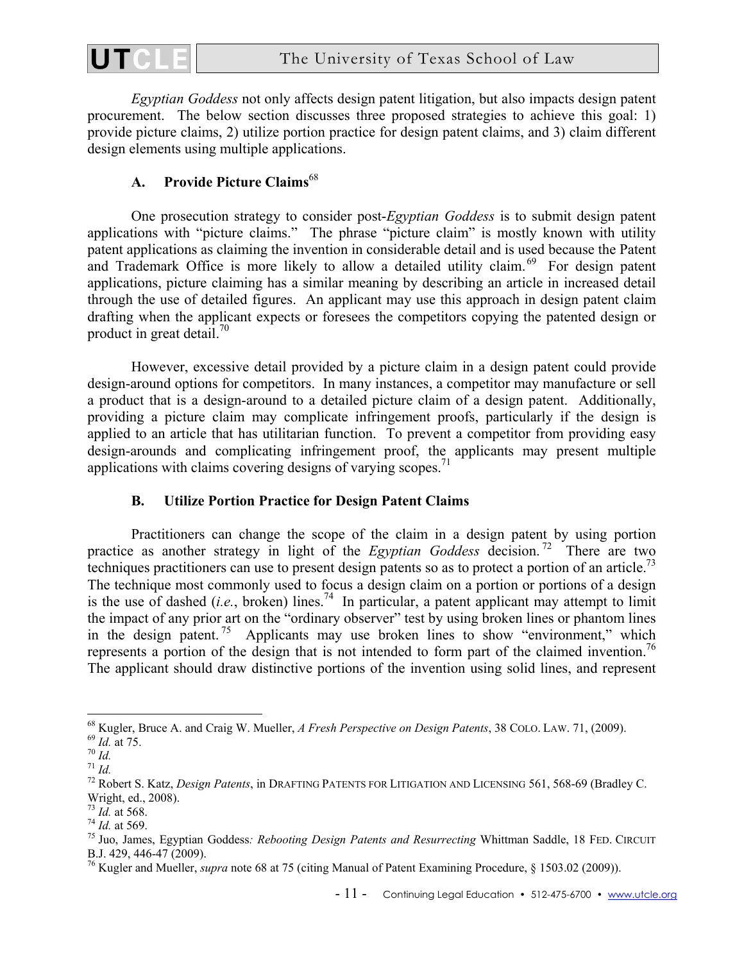

*Egyptian Goddess* not only affects design patent litigation, but also impacts design patent procurement. The below section discusses three proposed strategies to achieve this goal: 1) provide picture claims, 2) utilize portion practice for design patent claims, and 3) claim different design elements using multiple applications.

# **A. Provide Picture Claims**<sup>68</sup>

One prosecution strategy to consider post-*Egyptian Goddess* is to submit design patent applications with "picture claims." The phrase "picture claim" is mostly known with utility patent applications as claiming the invention in considerable detail and is used because the Patent and Trademark Office is more likely to allow a detailed utility claim.<sup>69</sup> For design patent applications, picture claiming has a similar meaning by describing an article in increased detail through the use of detailed figures. An applicant may use this approach in design patent claim drafting when the applicant expects or foresees the competitors copying the patented design or product in great detail. $\frac{70}{2}$ 

However, excessive detail provided by a picture claim in a design patent could provide design-around options for competitors. In many instances, a competitor may manufacture or sell a product that is a design-around to a detailed picture claim of a design patent. Additionally, providing a picture claim may complicate infringement proofs, particularly if the design is applied to an article that has utilitarian function. To prevent a competitor from providing easy design-arounds and complicating infringement proof, the applicants may present multiple applications with claims covering designs of varying scopes.<sup>71</sup>

# **B. Utilize Portion Practice for Design Patent Claims**

Practitioners can change the scope of the claim in a design patent by using portion practice as another strategy in light of the *Egyptian Goddess* decision.<sup>72</sup> There are two techniques practitioners can use to present design patents so as to protect a portion of an article.<sup>73</sup> The technique most commonly used to focus a design claim on a portion or portions of a design is the use of dashed (*i.e.*, broken) lines.<sup>74</sup> In particular, a patent applicant may attempt to limit the impact of any prior art on the "ordinary observer" test by using broken lines or phantom lines in the design patent.<sup>75</sup> Applicants may use broken lines to show "environment," which represents a portion of the design that is not intended to form part of the claimed invention.<sup>76</sup> The applicant should draw distinctive portions of the invention using solid lines, and represent

1

<sup>&</sup>lt;sup>68</sup> Kugler, Bruce A. and Craig W. Mueller, A Fresh Perspective on Design Patents, 38 COLO. LAW. 71, (2009).<br><sup>69</sup> Id. at 75.<br><sup>70</sup> Id.<br><sup>71</sup> Id.<br><sup>72</sup> Robert S. Katz, *Design Patents*, in DRAFTING PATENTS FOR LITIGATION AND

Wright, ed., 2008).<br><sup>73</sup> Id. at 568.

<sup>&</sup>lt;sup>74</sup> *Id.* at 569.<br><sup>75</sup> Juo, James, Egyptian Goddess: *Rebooting Design Patents and Resurrecting* Whittman Saddle, 18 FED. CIRCUIT B.J. 429, 446-47 (2009).

<sup>76</sup> Kugler and Mueller, *supra* note 68 at 75 (citing Manual of Patent Examining Procedure, § 1503.02 (2009)).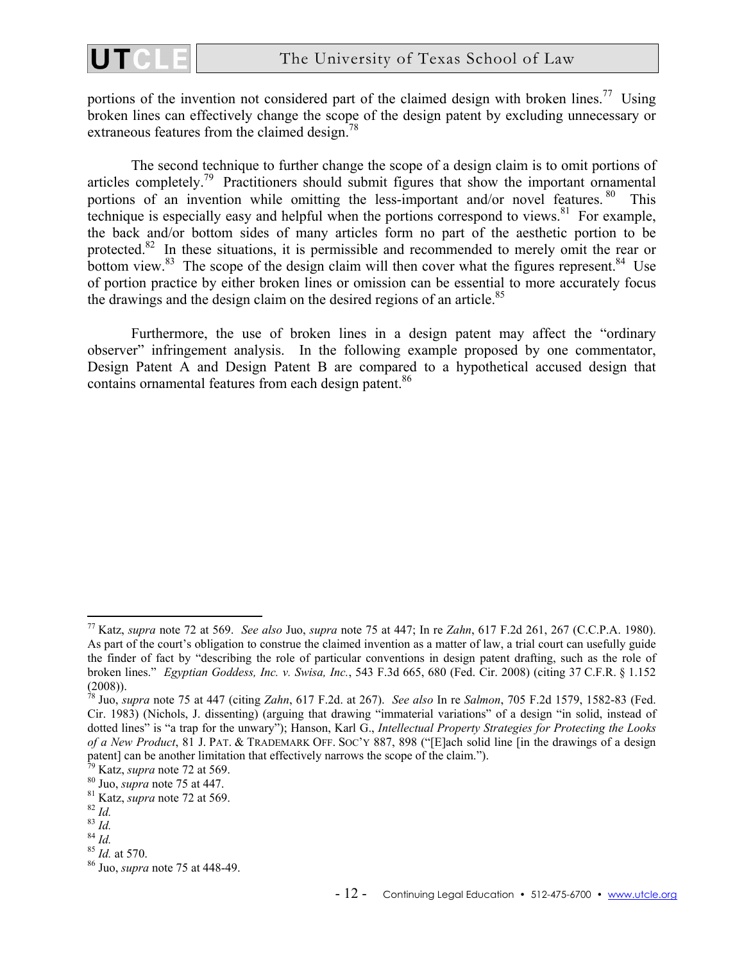

portions of the invention not considered part of the claimed design with broken lines.<sup>77</sup> Using broken lines can effectively change the scope of the design patent by excluding unnecessary or extraneous features from the claimed design.<sup>78</sup>

The second technique to further change the scope of a design claim is to omit portions of articles completely.<sup>79</sup> Practitioners should submit figures that show the important ornamental portions of an invention while omitting the less-important and/or novel features.  $80$  This technique is especially easy and helpful when the portions correspond to views. $81$  For example, the back and/or bottom sides of many articles form no part of the aesthetic portion to be protected.<sup>82</sup> In these situations, it is permissible and recommended to merely omit the rear or bottom view. $83$  The scope of the design claim will then cover what the figures represent. $84$  Use of portion practice by either broken lines or omission can be essential to more accurately focus the drawings and the design claim on the desired regions of an article.<sup>85</sup>

Furthermore, the use of broken lines in a design patent may affect the "ordinary observer" infringement analysis. In the following example proposed by one commentator, Design Patent A and Design Patent B are compared to a hypothetical accused design that contains ornamental features from each design patent.<sup>86</sup>

<sup>77</sup> Katz, *supra* note 72 at 569. *See also* Juo, *supra* note 75 at 447; In re *Zahn*, 617 F.2d 261, 267 (C.C.P.A. 1980). As part of the court's obligation to construe the claimed invention as a matter of law, a trial court can usefully guide the finder of fact by "describing the role of particular conventions in design patent drafting, such as the role of broken lines." *Egyptian Goddess, Inc. v. Swisa, Inc.*, 543 F.3d 665, 680 (Fed. Cir. 2008) (citing 37 C.F.R. § 1.152 (2008)).

<sup>78</sup> Juo, *supra* note 75 at 447 (citing *Zahn*, 617 F.2d. at 267). *See also* In re *Salmon*, 705 F.2d 1579, 1582-83 (Fed. Cir. 1983) (Nichols, J. dissenting) (arguing that drawing "immaterial variations" of a design "in solid, instead of dotted lines" is "a trap for the unwary"); Hanson, Karl G., *Intellectual Property Strategies for Protecting the Looks of a New Product*, 81 J. PAT. & TRADEMARK OFF. SOC'Y 887, 898 ("[E]ach solid line [in the drawings of a design patent] can be another limitation that effectively narrows the scope of the claim.").<br><sup>79</sup> Katz, *supra* note 72 at 569.<br><sup>80</sup> Juo, *supra* note 75 at 447.<br><sup>81</sup> Katz, *supra* note 72 at 569.<br><sup>82</sup> Id.<br><sup>83</sup> Id.<br><sup>84</sup> Id. at 5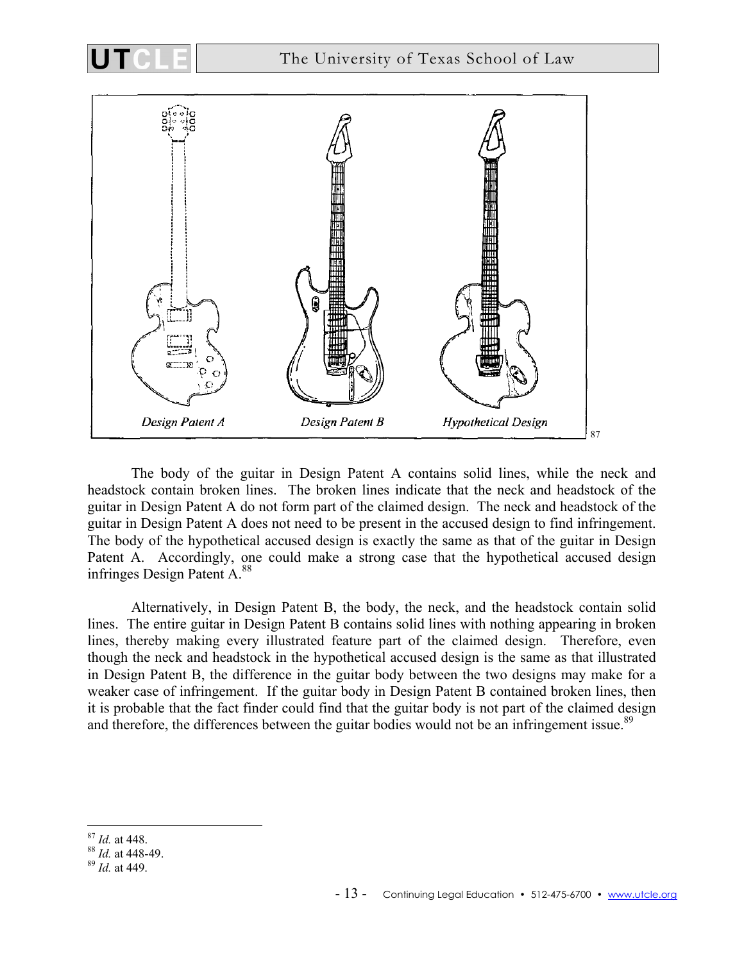

The body of the guitar in Design Patent A contains solid lines, while the neck and headstock contain broken lines. The broken lines indicate that the neck and headstock of the guitar in Design Patent A do not form part of the claimed design. The neck and headstock of the guitar in Design Patent A does not need to be present in the accused design to find infringement. The body of the hypothetical accused design is exactly the same as that of the guitar in Design Patent A. Accordingly, one could make a strong case that the hypothetical accused design infringes Design Patent A.88

Alternatively, in Design Patent B, the body, the neck, and the headstock contain solid lines. The entire guitar in Design Patent B contains solid lines with nothing appearing in broken lines, thereby making every illustrated feature part of the claimed design. Therefore, even though the neck and headstock in the hypothetical accused design is the same as that illustrated in Design Patent B, the difference in the guitar body between the two designs may make for a weaker case of infringement. If the guitar body in Design Patent B contained broken lines, then it is probable that the fact finder could find that the guitar body is not part of the claimed design and therefore, the differences between the guitar bodies would not be an infringement issue.<sup>89</sup>

1

<sup>87</sup> *Id.* at 448. 88 *Id.* at 448-49. 89 *Id.* at 449.